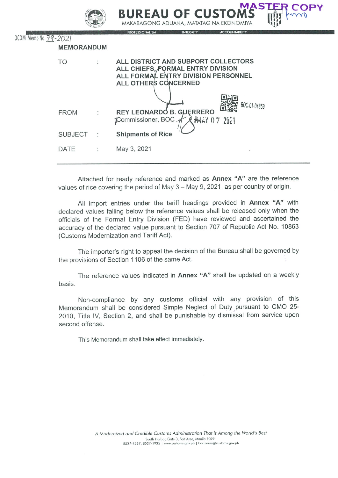|                       |                   | <b>MASTER COPY</b><br><b>BUREAU OF CUSTOMS</b><br>MAKABAGONG ADUANA, MATATAG NA EKONOMIYA<br><b>ACCOUNTABILITY</b><br><b>PROFESSIONALISM</b><br><b>INTEGRITY</b> |
|-----------------------|-------------------|------------------------------------------------------------------------------------------------------------------------------------------------------------------|
| OCOM Memo No. 79-2021 |                   |                                                                                                                                                                  |
|                       | <b>MEMORANDUM</b> |                                                                                                                                                                  |
|                       | <b>TO</b>         | ALL DISTRICT AND SUBPORT COLLECTORS<br>ALL CHIEFS, FORMAL ENTRY DIVISION<br>ALL FORMAL ENTRY DIVISION PERSONNEL<br>ALL OTHERS CONCERNED                          |
|                       | <b>FROM</b>       | BOC-01-04859<br>REY LEONARDO B. GUERRERO<br>Commissioner, BOC + X +MAY 07 2021                                                                                   |
|                       | <b>SUBJECT</b>    | <b>Shipments of Rice</b>                                                                                                                                         |
|                       | <b>DATE</b>       | May 3, 2021                                                                                                                                                      |
|                       |                   |                                                                                                                                                                  |

Attached for ready reference and marked as **Annex "A"** are the reference values of rice covering the period of May 3 - May 9, 2021, as per country of origin.

All import entries under the tariff headings provided in Annex "A" with declared values falling below the reference values shall be released only when the officials of the Formal Entry Division (FED) have reviewed and ascertained the accuracy of the declared value pursuant to Section 707 of Republic Act No. 10863 (Customs Modernization and Tariff Act).

The importer's right to appeal the decision of the Bureau shall be governed by the provisions of Section 1106 of the same Act.

The reference values indicated in Annex "A" shall be updated on a weekly basis.

Non-compliance by any customs official with any provision of this Memorandum shall be considered Simple Neglect of Duty pursuant to CM0 25- 2010, Title IV, Section 2, and shall be punishable by dismissal from service upon second offense.

This Memorandum shall take effect immediately.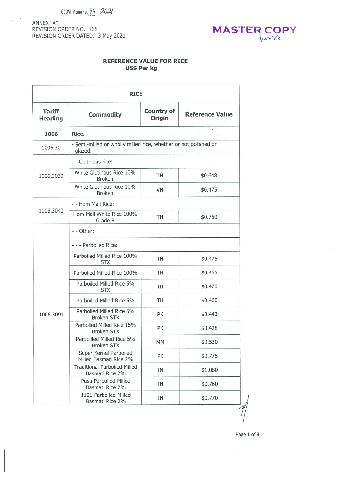$OCOM$  Memo No.  $79 - 2021$ 

ANNEX "A" REVISION ORDER NO.: 168 REVISION ORDER DATED: 3 May 2021

 $\sim$ 



## REFERENCE VALUE FOR RICE Us\$ per kg

| <b>RICE</b>                     |                                                                            |                             |                        |  |  |  |  |
|---------------------------------|----------------------------------------------------------------------------|-----------------------------|------------------------|--|--|--|--|
| <b>Tariff</b><br><b>Heading</b> | <b>Commodity</b>                                                           | <b>Country of</b><br>Origin | <b>Reference Value</b> |  |  |  |  |
| 1006                            | Rice.                                                                      |                             |                        |  |  |  |  |
| 1006.30                         | - Semi-milled or wholly milled rice, whether or not polished or<br>glazed: |                             |                        |  |  |  |  |
|                                 | - - Glutinous rice:                                                        |                             |                        |  |  |  |  |
| 1006.3030                       | White Glutinous Rice 10%<br><b>Broken</b>                                  | TH                          | \$0.648                |  |  |  |  |
|                                 | White Glutinous Rice 10%<br><b>Broken</b>                                  | VN                          | \$0.475                |  |  |  |  |
|                                 | - - Hom Mali Rice:                                                         |                             |                        |  |  |  |  |
| 1006.3040                       | Hom Mali White Rice 100%<br>Grade B                                        | TH                          | \$0.760                |  |  |  |  |
|                                 | - - Other:                                                                 |                             |                        |  |  |  |  |
|                                 | - - - Parboiled Rice:                                                      |                             |                        |  |  |  |  |
|                                 | Parboiled Milled Rice 100%<br><b>STX</b>                                   | TH                          | \$0.475                |  |  |  |  |
|                                 | Parboiled Milled Rice 100%                                                 | TH                          | \$0.465                |  |  |  |  |
|                                 | Parboiled Milled Rice 5%<br><b>STX</b>                                     | TH                          | \$0.470                |  |  |  |  |
|                                 | Parboiled Milled Rice 5%                                                   | TH                          | \$0.460                |  |  |  |  |
| 1006.3091                       | Parboiled Milled Rice 5%<br><b>Broken STX</b>                              | PK                          | \$0.443                |  |  |  |  |
|                                 | Parboiled Milled Rice 15%<br><b>Broken STX</b>                             | PK                          | \$0.428                |  |  |  |  |
|                                 | Parboilled Milled Rice 5%<br><b>Broken STX</b>                             | MM.                         | \$0.530                |  |  |  |  |
|                                 | Super Kernel Parboiled<br>Milled Basmati Rice 2%                           | PK                          | \$0.775                |  |  |  |  |
|                                 | <b>Traditional Parboiled Milled</b><br>Basmati Rice 2%                     | ΙN                          | \$1.080                |  |  |  |  |
|                                 | Pusa Parboiled Milled<br>Basmati Rice 2%                                   | IN                          | \$0.760                |  |  |  |  |
|                                 | 1121 Parboiled Milled<br>Basmati Rice 2%                                   | ΙN                          | \$0.770                |  |  |  |  |

Page 1 of 3

 $\sim$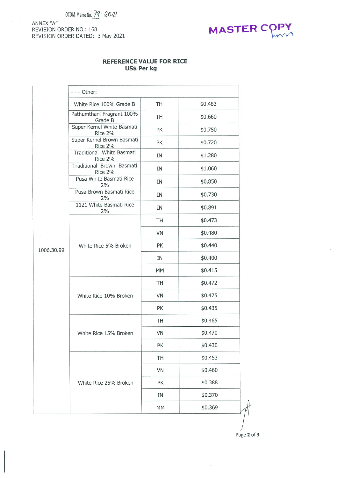$OCOM$  Memo No.  $79 - 2021$ 

ANNEX "A" REVISION ORDER NO.: 168 REVISION ORDER DATED: 3 May 2021



## REFERENCE VALUE FOR RICE Us\$ Per kg

|            | - - - Other:                          |           |         |  |  |  |
|------------|---------------------------------------|-----------|---------|--|--|--|
|            | White Rice 100% Grade B               | <b>TH</b> | \$0.483 |  |  |  |
|            | Pathumthani Fragrant 100%<br>Grade B  | TH        | \$0.660 |  |  |  |
|            | Super Kernel White Basmati<br>Rice 2% | PK        | \$0.750 |  |  |  |
|            | Super Kernel Brown Basmati<br>Rice 2% | PK        | \$0.720 |  |  |  |
|            | Traditional White Basmati<br>Rice 2%  | IN        | \$1.280 |  |  |  |
|            | Traditional Brown Basmati<br>Rice 2%  | IN        | \$1.060 |  |  |  |
|            | Pusa White Basmati Rice<br>2%         | IN        | \$0.850 |  |  |  |
|            | Pusa Brown Basmati Rice<br>2%         | IN        | \$0.730 |  |  |  |
|            | 1121 White Basmati Rice<br>2%         | IN        | \$0.891 |  |  |  |
|            |                                       | TH        | \$0.473 |  |  |  |
|            |                                       | VN        | \$0.480 |  |  |  |
| 1006.30.99 | White Rice 5% Broken                  | PK        | \$0.440 |  |  |  |
|            |                                       | IN        | \$0.400 |  |  |  |
|            |                                       | MM        | \$0.415 |  |  |  |
|            |                                       | TH        | \$0.472 |  |  |  |
|            | White Rice 10% Broken                 | VN        | \$0.475 |  |  |  |
|            |                                       | PK        | \$0.435 |  |  |  |
|            |                                       | TH        | \$0.465 |  |  |  |
|            | White Rice 15% Broken                 | VN        | \$0.470 |  |  |  |
|            |                                       | PK        | \$0.430 |  |  |  |
|            |                                       | TH        | \$0.453 |  |  |  |
|            |                                       | VN        | \$0.460 |  |  |  |
|            | White Rice 25% Broken                 | PK        | \$0.388 |  |  |  |
|            |                                       | IN        | \$0.370 |  |  |  |
|            |                                       | MM        | \$0.369 |  |  |  |

Page Z of 3